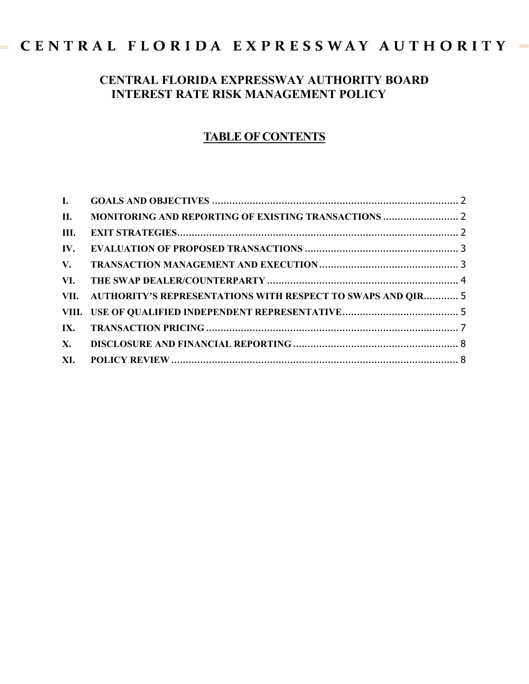# $=$  CENTRAL FLORIDA EXPRESSWAY AUTHORITY  $=$

# **CENTRAL FLORIDA EXPRESSWAY AUTHORITY BOARD INTEREST RATE RISK MANAGEMENT POLICY**

# **TABLE OF CONTENTS**

| Ш. |                                                                  |  |
|----|------------------------------------------------------------------|--|
|    |                                                                  |  |
|    |                                                                  |  |
|    |                                                                  |  |
|    | VII. AUTHORITY'S REPRESENTATIONS WITH RESPECT TO SWAPS AND QIR 5 |  |
|    |                                                                  |  |
|    |                                                                  |  |
|    |                                                                  |  |
|    |                                                                  |  |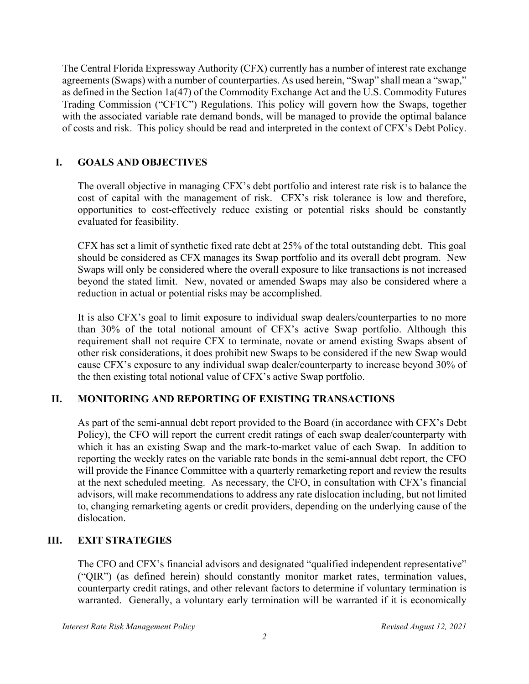The Central Florida Expressway Authority (CFX) currently has a number of interest rate exchange agreements (Swaps) with a number of counterparties. As used herein, "Swap" shall mean a "swap," as defined in the Section 1a(47) of the Commodity Exchange Act and the U.S. Commodity Futures Trading Commission ("CFTC") Regulations. This policy will govern how the Swaps, together with the associated variable rate demand bonds, will be managed to provide the optimal balance of costs and risk. This policy should be read and interpreted in the context of CFX's Debt Policy.

## **I. GOALS AND OBJECTIVES**

The overall objective in managing CFX's debt portfolio and interest rate risk is to balance the cost of capital with the management of risk. CFX's risk tolerance is low and therefore, opportunities to cost-effectively reduce existing or potential risks should be constantly evaluated for feasibility.

CFX has set a limit of synthetic fixed rate debt at 25% of the total outstanding debt. This goal should be considered as CFX manages its Swap portfolio and its overall debt program. New Swaps will only be considered where the overall exposure to like transactions is not increased beyond the stated limit. New, novated or amended Swaps may also be considered where a reduction in actual or potential risks may be accomplished.

It is also CFX's goal to limit exposure to individual swap dealers/counterparties to no more than 30% of the total notional amount of CFX's active Swap portfolio. Although this requirement shall not require CFX to terminate, novate or amend existing Swaps absent of other risk considerations, it does prohibit new Swaps to be considered if the new Swap would cause CFX's exposure to any individual swap dealer/counterparty to increase beyond 30% of the then existing total notional value of CFX's active Swap portfolio.

## **II. MONITORING AND REPORTING OF EXISTING TRANSACTIONS**

As part of the semi-annual debt report provided to the Board (in accordance with CFX's Debt Policy), the CFO will report the current credit ratings of each swap dealer/counterparty with which it has an existing Swap and the mark-to-market value of each Swap. In addition to reporting the weekly rates on the variable rate bonds in the semi-annual debt report, the CFO will provide the Finance Committee with a quarterly remarketing report and review the results at the next scheduled meeting. As necessary, the CFO, in consultation with CFX's financial advisors, will make recommendations to address any rate dislocation including, but not limited to, changing remarketing agents or credit providers, depending on the underlying cause of the dislocation.

#### **III. EXIT STRATEGIES**

The CFO and CFX's financial advisors and designated "qualified independent representative" ("QIR") (as defined herein) should constantly monitor market rates, termination values, counterparty credit ratings, and other relevant factors to determine if voluntary termination is warranted. Generally, a voluntary early termination will be warranted if it is economically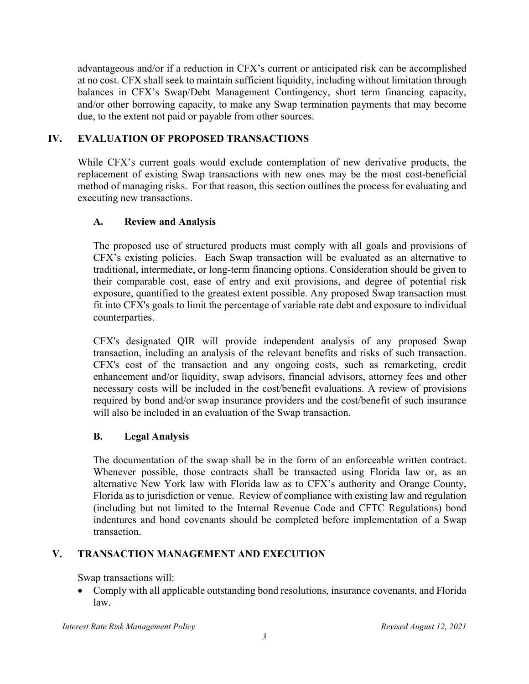advantageous and/or if a reduction in CFX's current or anticipated risk can be accomplished at no cost. CFX shall seek to maintain sufficient liquidity, including without limitation through balances in CFX's Swap/Debt Management Contingency, short term financing capacity, and/or other borrowing capacity, to make any Swap termination payments that may become due, to the extent not paid or payable from other sources.

#### **IV. EVALUATION OF PROPOSED TRANSACTIONS**

While CFX's current goals would exclude contemplation of new derivative products, the replacement of existing Swap transactions with new ones may be the most cost-beneficial method of managing risks. For that reason, this section outlines the process for evaluating and executing new transactions.

#### **A. Review and Analysis**

 The proposed use of structured products must comply with all goals and provisions of CFX's existing policies. Each Swap transaction will be evaluated as an alternative to traditional, intermediate, or long-term financing options. Consideration should be given to their comparable cost, ease of entry and exit provisions, and degree of potential risk exposure, quantified to the greatest extent possible. Any proposed Swap transaction must fit into CFX's goals to limit the percentage of variable rate debt and exposure to individual counterparties.

CFX's designated QIR will provide independent analysis of any proposed Swap transaction, including an analysis of the relevant benefits and risks of such transaction. CFX's cost of the transaction and any ongoing costs, such as remarketing, credit enhancement and/or liquidity, swap advisors, financial advisors, attorney fees and other necessary costs will be included in the cost/benefit evaluations. A review of provisions required by bond and/or swap insurance providers and the cost/benefit of such insurance will also be included in an evaluation of the Swap transaction.

#### **B. Legal Analysis**

 The documentation of the swap shall be in the form of an enforceable written contract. Whenever possible, those contracts shall be transacted using Florida law or, as an alternative New York law with Florida law as to CFX's authority and Orange County, Florida as to jurisdiction or venue. Review of compliance with existing law and regulation (including but not limited to the Internal Revenue Code and CFTC Regulations) bond indentures and bond covenants should be completed before implementation of a Swap transaction.

## **V. TRANSACTION MANAGEMENT AND EXECUTION**

Swap transactions will:

 Comply with all applicable outstanding bond resolutions, insurance covenants, and Florida law.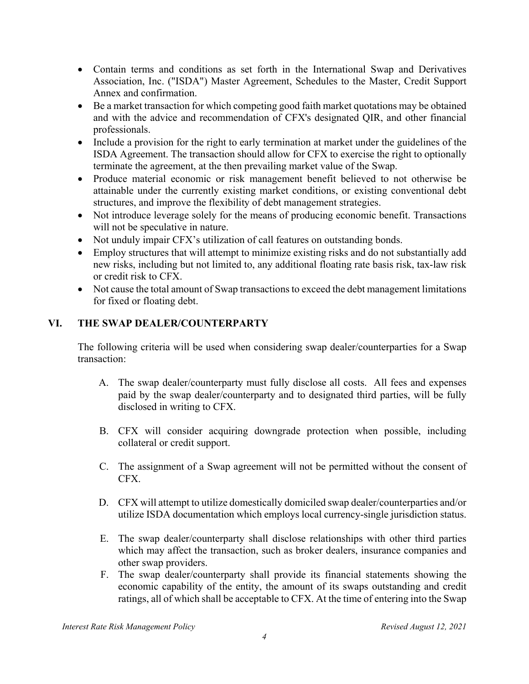- Contain terms and conditions as set forth in the International Swap and Derivatives Association, Inc. ("ISDA") Master Agreement, Schedules to the Master, Credit Support Annex and confirmation.
- Be a market transaction for which competing good faith market quotations may be obtained and with the advice and recommendation of CFX's designated QIR, and other financial professionals.
- Include a provision for the right to early termination at market under the guidelines of the ISDA Agreement. The transaction should allow for CFX to exercise the right to optionally terminate the agreement, at the then prevailing market value of the Swap.
- Produce material economic or risk management benefit believed to not otherwise be attainable under the currently existing market conditions, or existing conventional debt structures, and improve the flexibility of debt management strategies.
- Not introduce leverage solely for the means of producing economic benefit. Transactions will not be speculative in nature.
- Not unduly impair CFX's utilization of call features on outstanding bonds.
- Employ structures that will attempt to minimize existing risks and do not substantially add new risks, including but not limited to, any additional floating rate basis risk, tax-law risk or credit risk to CFX.
- Not cause the total amount of Swap transactions to exceed the debt management limitations for fixed or floating debt.

## **VI. THE SWAP DEALER/COUNTERPARTY**

The following criteria will be used when considering swap dealer/counterparties for a Swap transaction:

- A. The swap dealer/counterparty must fully disclose all costs. All fees and expenses paid by the swap dealer/counterparty and to designated third parties, will be fully disclosed in writing to CFX.
- B. CFX will consider acquiring downgrade protection when possible, including collateral or credit support.
- C. The assignment of a Swap agreement will not be permitted without the consent of CFX.
- D. CFX will attempt to utilize domestically domiciled swap dealer/counterparties and/or utilize ISDA documentation which employs local currency-single jurisdiction status.
- E. The swap dealer/counterparty shall disclose relationships with other third parties which may affect the transaction, such as broker dealers, insurance companies and other swap providers.
- F. The swap dealer/counterparty shall provide its financial statements showing the economic capability of the entity, the amount of its swaps outstanding and credit ratings, all of which shall be acceptable to CFX. At the time of entering into the Swap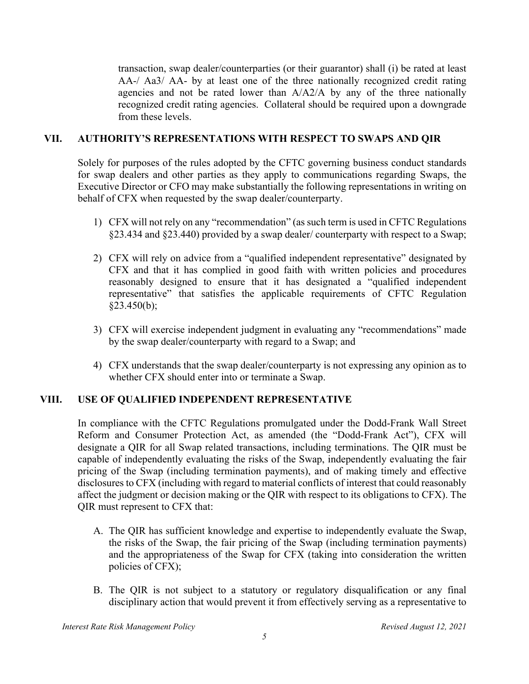transaction, swap dealer/counterparties (or their guarantor) shall (i) be rated at least AA-/ Aa3/ AA- by at least one of the three nationally recognized credit rating agencies and not be rated lower than  $A/A2/A$  by any of the three nationally recognized credit rating agencies. Collateral should be required upon a downgrade from these levels.

#### **VII. AUTHORITY'S REPRESENTATIONS WITH RESPECT TO SWAPS AND QIR**

Solely for purposes of the rules adopted by the CFTC governing business conduct standards for swap dealers and other parties as they apply to communications regarding Swaps, the Executive Director or CFO may make substantially the following representations in writing on behalf of CFX when requested by the swap dealer/counterparty.

- 1) CFX will not rely on any "recommendation" (as such term is used in CFTC Regulations §23.434 and §23.440) provided by a swap dealer/ counterparty with respect to a Swap;
- 2) CFX will rely on advice from a "qualified independent representative" designated by CFX and that it has complied in good faith with written policies and procedures reasonably designed to ensure that it has designated a "qualified independent representative" that satisfies the applicable requirements of CFTC Regulation §23.450(b);
- 3) CFX will exercise independent judgment in evaluating any "recommendations" made by the swap dealer/counterparty with regard to a Swap; and
- 4) CFX understands that the swap dealer/counterparty is not expressing any opinion as to whether CFX should enter into or terminate a Swap.

#### **VIII. USE OF QUALIFIED INDEPENDENT REPRESENTATIVE**

In compliance with the CFTC Regulations promulgated under the Dodd-Frank Wall Street Reform and Consumer Protection Act, as amended (the "Dodd-Frank Act"), CFX will designate a QIR for all Swap related transactions, including terminations. The QIR must be capable of independently evaluating the risks of the Swap, independently evaluating the fair pricing of the Swap (including termination payments), and of making timely and effective disclosures to CFX (including with regard to material conflicts of interest that could reasonably affect the judgment or decision making or the QIR with respect to its obligations to CFX). The QIR must represent to CFX that:

- A. The QIR has sufficient knowledge and expertise to independently evaluate the Swap, the risks of the Swap, the fair pricing of the Swap (including termination payments) and the appropriateness of the Swap for CFX (taking into consideration the written policies of CFX);
- B. The QIR is not subject to a statutory or regulatory disqualification or any final disciplinary action that would prevent it from effectively serving as a representative to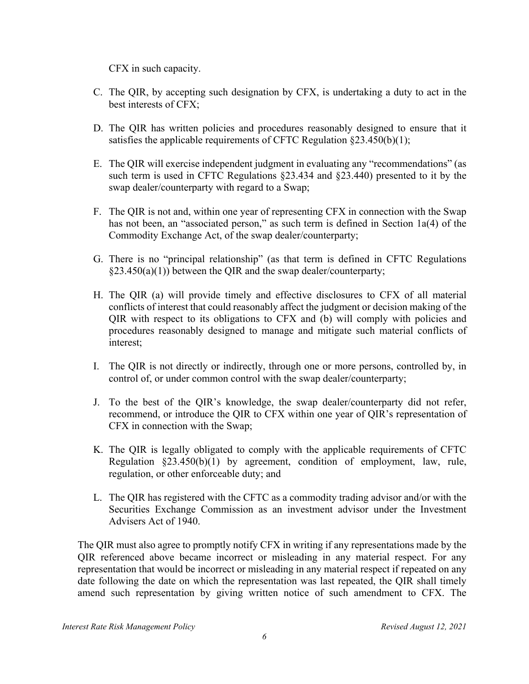CFX in such capacity.

- C. The QIR, by accepting such designation by CFX, is undertaking a duty to act in the best interests of CFX;
- D. The QIR has written policies and procedures reasonably designed to ensure that it satisfies the applicable requirements of CFTC Regulation  $\S 23.450(b)(1)$ ;
- E. The QIR will exercise independent judgment in evaluating any "recommendations" (as such term is used in CFTC Regulations §23.434 and §23.440) presented to it by the swap dealer/counterparty with regard to a Swap;
- F. The QIR is not and, within one year of representing CFX in connection with the Swap has not been, an "associated person," as such term is defined in Section 1a(4) of the Commodity Exchange Act, of the swap dealer/counterparty;
- G. There is no "principal relationship" (as that term is defined in CFTC Regulations §23.450(a)(1)) between the QIR and the swap dealer/counterparty;
- H. The QIR (a) will provide timely and effective disclosures to CFX of all material conflicts of interest that could reasonably affect the judgment or decision making of the QIR with respect to its obligations to CFX and (b) will comply with policies and procedures reasonably designed to manage and mitigate such material conflicts of interest;
- I. The QIR is not directly or indirectly, through one or more persons, controlled by, in control of, or under common control with the swap dealer/counterparty;
- J. To the best of the QIR's knowledge, the swap dealer/counterparty did not refer, recommend, or introduce the QIR to CFX within one year of QIR's representation of CFX in connection with the Swap;
- K. The QIR is legally obligated to comply with the applicable requirements of CFTC Regulation §23.450(b)(1) by agreement, condition of employment, law, rule, regulation, or other enforceable duty; and
- L. The QIR has registered with the CFTC as a commodity trading advisor and/or with the Securities Exchange Commission as an investment advisor under the Investment Advisers Act of 1940.

The QIR must also agree to promptly notify CFX in writing if any representations made by the QIR referenced above became incorrect or misleading in any material respect. For any representation that would be incorrect or misleading in any material respect if repeated on any date following the date on which the representation was last repeated, the QIR shall timely amend such representation by giving written notice of such amendment to CFX. The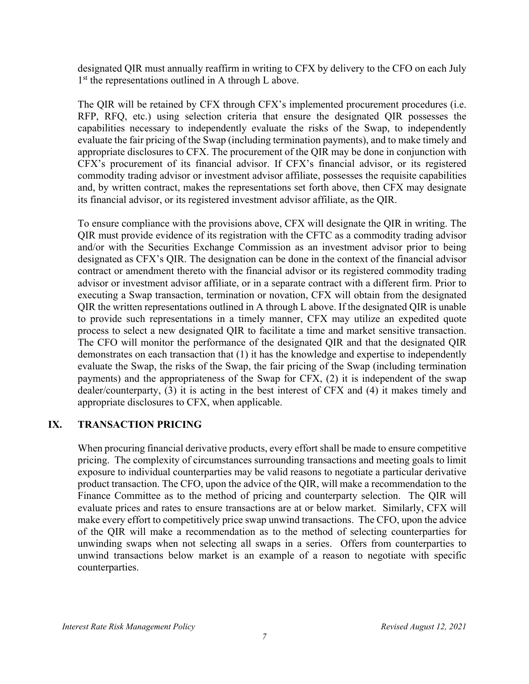designated QIR must annually reaffirm in writing to CFX by delivery to the CFO on each July 1<sup>st</sup> the representations outlined in A through L above.

The QIR will be retained by CFX through CFX's implemented procurement procedures (i.e. RFP, RFQ, etc.) using selection criteria that ensure the designated QIR possesses the capabilities necessary to independently evaluate the risks of the Swap, to independently evaluate the fair pricing of the Swap (including termination payments), and to make timely and appropriate disclosures to CFX. The procurement of the QIR may be done in conjunction with CFX's procurement of its financial advisor. If CFX's financial advisor, or its registered commodity trading advisor or investment advisor affiliate, possesses the requisite capabilities and, by written contract, makes the representations set forth above, then CFX may designate its financial advisor, or its registered investment advisor affiliate, as the QIR.

To ensure compliance with the provisions above, CFX will designate the QIR in writing. The QIR must provide evidence of its registration with the CFTC as a commodity trading advisor and/or with the Securities Exchange Commission as an investment advisor prior to being designated as CFX's QIR. The designation can be done in the context of the financial advisor contract or amendment thereto with the financial advisor or its registered commodity trading advisor or investment advisor affiliate, or in a separate contract with a different firm. Prior to executing a Swap transaction, termination or novation, CFX will obtain from the designated QIR the written representations outlined in A through L above. If the designated QIR is unable to provide such representations in a timely manner, CFX may utilize an expedited quote process to select a new designated QIR to facilitate a time and market sensitive transaction. The CFO will monitor the performance of the designated QIR and that the designated QIR demonstrates on each transaction that (1) it has the knowledge and expertise to independently evaluate the Swap, the risks of the Swap, the fair pricing of the Swap (including termination payments) and the appropriateness of the Swap for CFX, (2) it is independent of the swap dealer/counterparty, (3) it is acting in the best interest of CFX and (4) it makes timely and appropriate disclosures to CFX, when applicable.

#### **IX. TRANSACTION PRICING**

When procuring financial derivative products, every effort shall be made to ensure competitive pricing. The complexity of circumstances surrounding transactions and meeting goals to limit exposure to individual counterparties may be valid reasons to negotiate a particular derivative product transaction. The CFO, upon the advice of the QIR, will make a recommendation to the Finance Committee as to the method of pricing and counterparty selection. The QIR will evaluate prices and rates to ensure transactions are at or below market. Similarly, CFX will make every effort to competitively price swap unwind transactions. The CFO, upon the advice of the QIR will make a recommendation as to the method of selecting counterparties for unwinding swaps when not selecting all swaps in a series. Offers from counterparties to unwind transactions below market is an example of a reason to negotiate with specific counterparties.